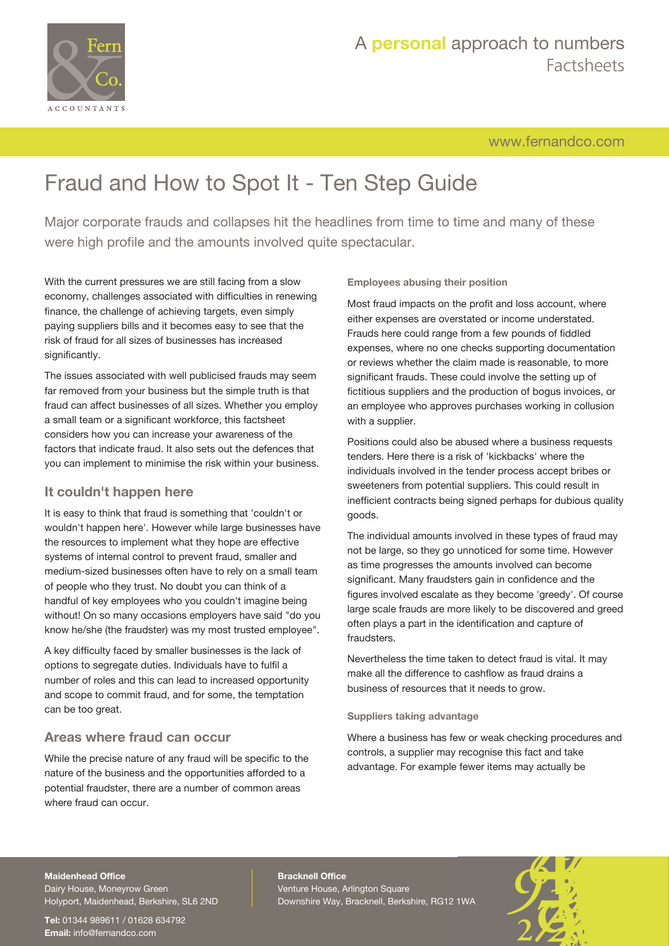

# A **personal** approach to numbers Factsheets

[www.fernandco.com](http://www.fernandco.com)

# Fraud and How to Spot It - Ten Step Guide

Major corporate frauds and collapses hit the headlines from time to time and many of these were high profile and the amounts involved quite spectacular.

With the current pressures we are still facing from a slow economy, challenges associated with difficulties in renewing finance, the challenge of achieving targets, even simply paying suppliers bills and it becomes easy to see that the risk of fraud for all sizes of businesses has increased significantly.

The issues associated with well publicised frauds may seem far removed from your business but the simple truth is that fraud can affect businesses of all sizes. Whether you employ a small team or a significant workforce, this factsheet considers how you can increase your awareness of the factors that indicate fraud. It also sets out the defences that you can implement to minimise the risk within your business.

# **It couldn't happen here**

It is easy to think that fraud is something that 'couldn't or wouldn't happen here'. However while large businesses have the resources to implement what they hope are effective systems of internal control to prevent fraud, smaller and medium-sized businesses often have to rely on a small team of people who they trust. No doubt you can think of a handful of key employees who you couldn't imagine being without! On so many occasions employers have said "do you know he/she (the fraudster) was my most trusted employee".

A key difficulty faced by smaller businesses is the lack of options to segregate duties. Individuals have to fulfil a number of roles and this can lead to increased opportunity and scope to commit fraud, and for some, the temptation can be too great.

# **Areas where fraud can occur**

While the precise nature of any fraud will be specific to the nature of the business and the opportunities afforded to a potential fraudster, there are a number of common areas where fraud can occur.

**Employees abusing their position**

Most fraud impacts on the profit and loss account, where either expenses are overstated or income understated. Frauds here could range from a few pounds of fiddled expenses, where no one checks supporting documentation or reviews whether the claim made is reasonable, to more significant frauds. These could involve the setting up of fictitious suppliers and the production of bogus invoices, or an employee who approves purchases working in collusion with a supplier.

Positions could also be abused where a business requests tenders. Here there is a risk of 'kickbacks' where the individuals involved in the tender process accept bribes or sweeteners from potential suppliers. This could result in inefficient contracts being signed perhaps for dubious quality goods.

The individual amounts involved in these types of fraud may not be large, so they go unnoticed for some time. However as time progresses the amounts involved can become significant. Many fraudsters gain in confidence and the figures involved escalate as they become 'greedy'. Of course large scale frauds are more likely to be discovered and greed often plays a part in the identification and capture of fraudsters.

Nevertheless the time taken to detect fraud is vital. It may make all the difference to cashflow as fraud drains a business of resources that it needs to grow.

#### **Suppliers taking advantage**

Where a business has few or weak checking procedures and controls, a supplier may recognise this fact and take advantage. For example fewer items may actually be

#### **Maidenhead Office**

Dairy House, Moneyrow Green Holyport, Maidenhead, Berkshire, SL6 2ND

**Tel:** 01344 989611 / 01628 634792 **Email:** [info@fernandco.com](mailto:info@fernandco.com)

**Bracknell Office** Venture House, Arlington Square Downshire Way, Bracknell, Berkshire, RG12 1WA

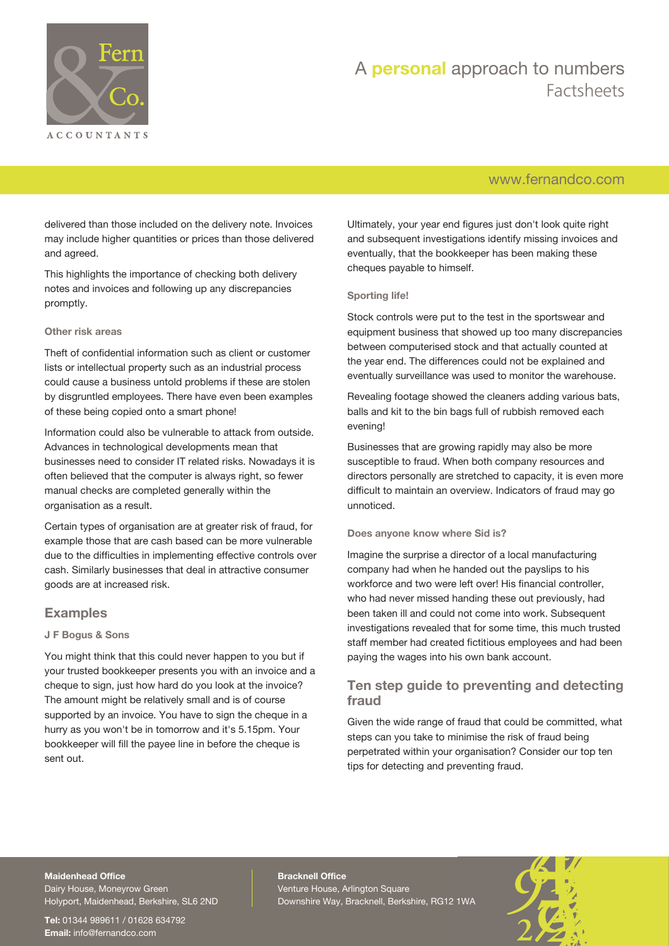

# A **personal** approach to numbers Factsheets

# [www.fernandco.com](http://www.fernandco.com)

delivered than those included on the delivery note. Invoices may include higher quantities or prices than those delivered and agreed.

This highlights the importance of checking both delivery notes and invoices and following up any discrepancies promptly.

#### **Other risk areas**

Theft of confidential information such as client or customer lists or intellectual property such as an industrial process could cause a business untold problems if these are stolen by disgruntled employees. There have even been examples of these being copied onto a smart phone!

Information could also be vulnerable to attack from outside. Advances in technological developments mean that businesses need to consider IT related risks. Nowadays it is often believed that the computer is always right, so fewer manual checks are completed generally within the organisation as a result.

Certain types of organisation are at greater risk of fraud, for example those that are cash based can be more vulnerable due to the difficulties in implementing effective controls over cash. Similarly businesses that deal in attractive consumer goods are at increased risk.

### **Examples**

#### **J F Bogus & Sons**

You might think that this could never happen to you but if your trusted bookkeeper presents you with an invoice and a cheque to sign, just how hard do you look at the invoice? The amount might be relatively small and is of course supported by an invoice. You have to sign the cheque in a hurry as you won't be in tomorrow and it's 5.15pm. Your bookkeeper will fill the payee line in before the cheque is sent out.

Ultimately, your year end figures just don't look quite right and subsequent investigations identify missing invoices and eventually, that the bookkeeper has been making these cheques payable to himself.

#### **Sporting life!**

Stock controls were put to the test in the sportswear and equipment business that showed up too many discrepancies between computerised stock and that actually counted at the year end. The differences could not be explained and eventually surveillance was used to monitor the warehouse.

Revealing footage showed the cleaners adding various bats, balls and kit to the bin bags full of rubbish removed each evening!

Businesses that are growing rapidly may also be more susceptible to fraud. When both company resources and directors personally are stretched to capacity, it is even more difficult to maintain an overview. Indicators of fraud may go unnoticed.

#### **Does anyone know where Sid is?**

Imagine the surprise a director of a local manufacturing company had when he handed out the payslips to his workforce and two were left over! His financial controller, who had never missed handing these out previously, had been taken ill and could not come into work. Subsequent investigations revealed that for some time, this much trusted staff member had created fictitious employees and had been paying the wages into his own bank account.

# **Ten step guide to preventing and detecting fraud**

Given the wide range of fraud that could be committed, what steps can you take to minimise the risk of fraud being perpetrated within your organisation? Consider our top ten tips for detecting and preventing fraud.

### **Maidenhead Office**

Dairy House, Moneyrow Green Holyport, Maidenhead, Berkshire, SL6 2ND

**Tel:** 01344 989611 / 01628 634792 **Email:** [info@fernandco.com](mailto:info@fernandco.com)

**Bracknell Office** Venture House, Arlington Square Downshire Way, Bracknell, Berkshire, RG12 1WA